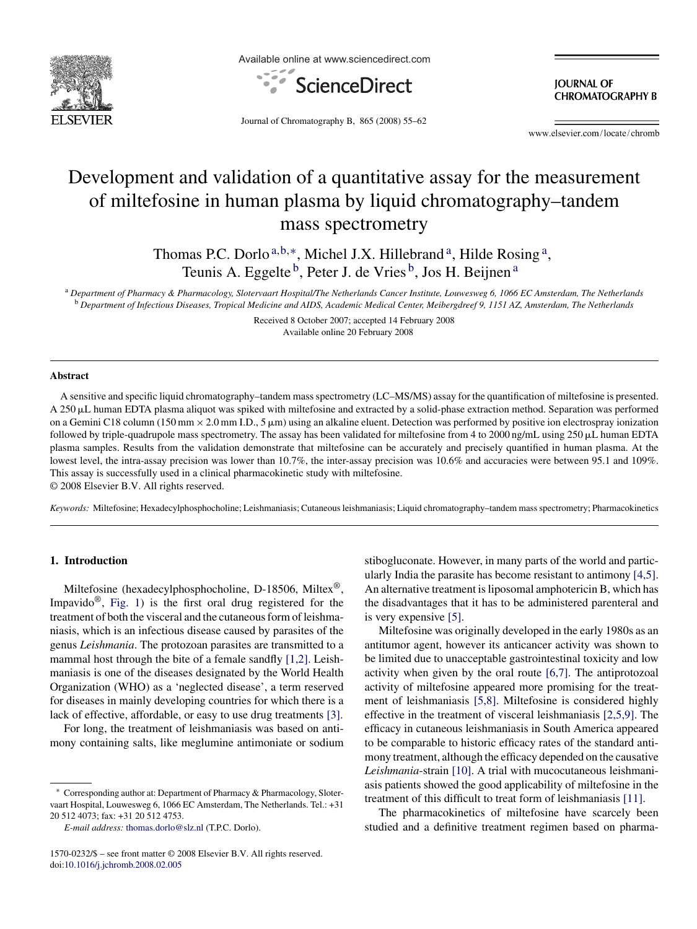

Available online at www.sciencedirect.com



**JOURNAL OF CHROMATOGRAPHY B** 

Journal of Chromatography B, 865 (2008) 55–62

www.elsevier.com/locate/chromb

# Development and validation of a quantitative assay for the measurement of miltefosine in human plasma by liquid chromatography–tandem mass spectrometry

Thomas P.C. Dorlo<sup>a,b,\*</sup>, Michel J.X. Hillebrand<sup>a</sup>, Hilde Rosing<sup>a</sup>, Teunis A. Eggelte <sup>b</sup>, Peter J. de Vries <sup>b</sup>, Jos H. Beijnen <sup>a</sup>

<sup>a</sup> *Department of Pharmacy & Pharmacology, Slotervaart Hospital/The Netherlands Cancer Institute, Louwesweg 6, 1066 EC Amsterdam, The Netherlands* <sup>b</sup> *Department of Infectious Diseases, Tropical Medicine and AIDS, Academic Medical Center, Meibergdreef 9, 1151 AZ, Amsterdam, The Netherlands*

> Received 8 October 2007; accepted 14 February 2008 Available online 20 February 2008

#### **Abstract**

A sensitive and specific liquid chromatography–tandem mass spectrometry (LC–MS/MS) assay for the quantification of miltefosine is presented. A 250 µL human EDTA plasma aliquot was spiked with miltefosine and extracted by a solid-phase extraction method. Separation was performed on a Gemini C18 column (150 mm  $\times$  2.0 mm I.D., 5  $\mu$ m) using an alkaline eluent. Detection was performed by positive ion electrospray ionization followed by triple-quadrupole mass spectrometry. The assay has been validated for miltefosine from 4 to 2000 ng/mL using 250  $\mu$ L human EDTA plasma samples. Results from the validation demonstrate that miltefosine can be accurately and precisely quantified in human plasma. At the lowest level, the intra-assay precision was lower than 10.7%, the inter-assay precision was 10.6% and accuracies were between 95.1 and 109%. This assay is successfully used in a clinical pharmacokinetic study with miltefosine. © 2008 Elsevier B.V. All rights reserved.

*Keywords:* Miltefosine; Hexadecylphosphocholine; Leishmaniasis; Cutaneous leishmaniasis; Liquid chromatography–tandem mass spectrometry; Pharmacokinetics

# **1. Introduction**

Miltefosine (hexadecylphosphocholine, D-18506, Miltex®, Impavido<sup>®</sup>, [Fig. 1\)](#page-1-0) is the first oral drug registered for the treatment of both the visceral and the cutaneous form of leishmaniasis, which is an infectious disease caused by parasites of the genus *Leishmania*. The protozoan parasites are transmitted to a mammal host through the bite of a female sandfly [\[1,2\].](#page-7-0) Leishmaniasis is one of the diseases designated by the World Health Organization (WHO) as a 'neglected disease', a term reserved for diseases in mainly developing countries for which there is a lack of effective, affordable, or easy to use drug treatments [\[3\].](#page-7-0)

For long, the treatment of leishmaniasis was based on antimony containing salts, like meglumine antimoniate or sodium stibogluconate. However, in many parts of the world and particularly India the parasite has become resistant to antimony [\[4,5\].](#page-7-0) An alternative treatment is liposomal amphotericin B, which has the disadvantages that it has to be administered parenteral and is very expensive [\[5\].](#page-7-0)

Miltefosine was originally developed in the early 1980s as an antitumor agent, however its anticancer activity was shown to be limited due to unacceptable gastrointestinal toxicity and low activity when given by the oral route [\[6,7\].](#page-7-0) The antiprotozoal activity of miltefosine appeared more promising for the treatment of leishmaniasis [\[5,8\].](#page-7-0) Miltefosine is considered highly effective in the treatment of visceral leishmaniasis [\[2,5,9\].](#page-7-0) The efficacy in cutaneous leishmaniasis in South America appeared to be comparable to historic efficacy rates of the standard antimony treatment, although the efficacy depended on the causative *Leishmania*-strain [\[10\]. A](#page-7-0) trial with mucocutaneous leishmaniasis patients showed the good applicability of miltefosine in the treatment of this difficult to treat form of leishmaniasis [\[11\].](#page-7-0)

The pharmacokinetics of miltefosine have scarcely been studied and a definitive treatment regimen based on pharma-

Corresponding author at: Department of Pharmacy & Pharmacology, Slotervaart Hospital, Louwesweg 6, 1066 EC Amsterdam, The Netherlands. Tel.: +31 20 512 4073; fax: +31 20 512 4753.

*E-mail address:* [thomas.dorlo@slz.nl](mailto:thomas.dorlo@slz.nl) (T.P.C. Dorlo).

<sup>1570-0232/\$ –</sup> see front matter © 2008 Elsevier B.V. All rights reserved. doi[:10.1016/j.jchromb.2008.02.005](dx.doi.org/10.1016/j.jchromb.2008.02.005)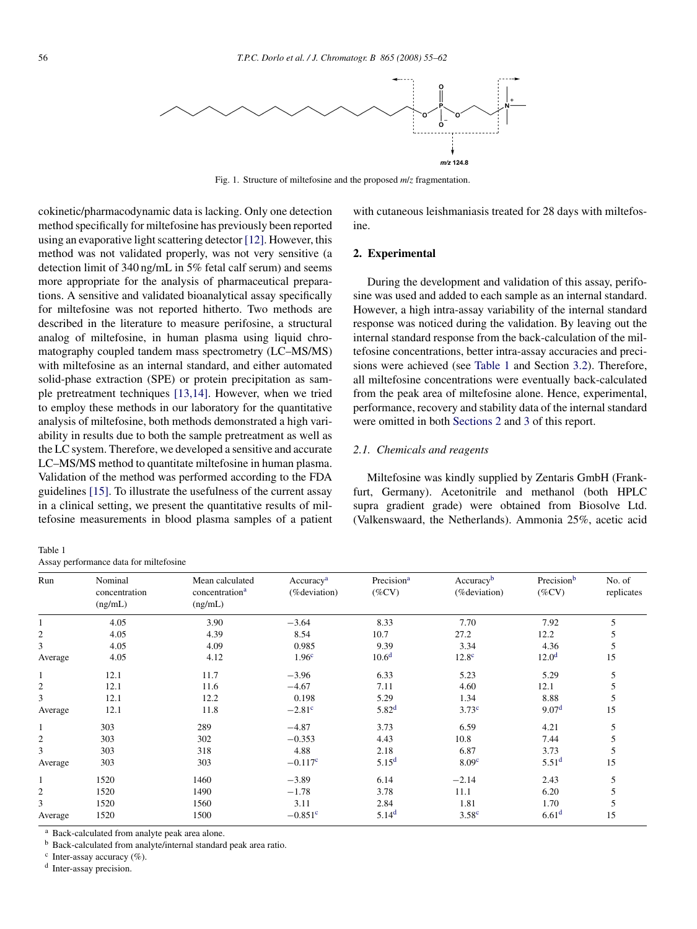<span id="page-1-0"></span>

Fig. 1. Structure of miltefosine and the proposed *m*/*z* fragmentation.

cokinetic/pharmacodynamic data is lacking. Only one detection method specifically for miltefosine has previously been reported using an evaporative light scattering detector [\[12\]. H](#page-7-0)owever, this method was not validated properly, was not very sensitive (a detection limit of 340 ng/mL in 5% fetal calf serum) and seems more appropriate for the analysis of pharmaceutical preparations. A sensitive and validated bioanalytical assay specifically for miltefosine was not reported hitherto. Two methods are described in the literature to measure perifosine, a structural analog of miltefosine, in human plasma using liquid chromatography coupled tandem mass spectrometry (LC–MS/MS) with miltefosine as an internal standard, and either automated solid-phase extraction (SPE) or protein precipitation as sample pretreatment techniques [\[13,14\].](#page-7-0) However, when we tried to employ these methods in our laboratory for the quantitative analysis of miltefosine, both methods demonstrated a high variability in results due to both the sample pretreatment as well as the LC system. Therefore, we developed a sensitive and accurate LC–MS/MS method to quantitate miltefosine in human plasma. Validation of the method was performed according to the FDA guidelines [\[15\]. T](#page-7-0)o illustrate the usefulness of the current assay in a clinical setting, we present the quantitative results of miltefosine measurements in blood plasma samples of a patient with cutaneous leishmaniasis treated for 28 days with miltefosine.

## **2. Experimental**

During the development and validation of this assay, perifosine was used and added to each sample as an internal standard. However, a high intra-assay variability of the internal standard response was noticed during the validation. By leaving out the internal standard response from the back-calculation of the miltefosine concentrations, better intra-assay accuracies and precisions were achieved (see Table 1 and Section [3.2\).](#page-5-0) Therefore, all miltefosine concentrations were eventually back-calculated from the peak area of miltefosine alone. Hence, experimental, performance, recovery and stability data of the internal standard were omitted in both Sections 2 and [3](#page-3-0) of this report.

#### *2.1. Chemicals and reagents*

Miltefosine was kindly supplied by Zentaris GmbH (Frankfurt, Germany). Acetonitrile and methanol (both HPLC supra gradient grade) were obtained from Biosolve Ltd. (Valkenswaard, the Netherlands). Ammonia 25%, acetic acid

| rabie i          |  |
|------------------|--|
| Accounted runges |  |

 $T<sub>1</sub>$ 

Assay performance data for miltefosine

| Run            | Nominal<br>concentration | Mean calculated<br>concentration <sup>a</sup> | Accuracy <sup>a</sup><br>(%deviation) | Precision <sup>a</sup><br>$(\%CV)$ | Accuracyb<br>(%deviation) | Precisionb<br>$(\%CV)$ | No. of<br>replicates |
|----------------|--------------------------|-----------------------------------------------|---------------------------------------|------------------------------------|---------------------------|------------------------|----------------------|
|                | (ng/mL)                  | (ng/mL)                                       |                                       |                                    |                           |                        |                      |
|                | 4.05                     | 3.90                                          | $-3.64$                               | 8.33                               | 7.70                      | 7.92                   | 5                    |
| 2              | 4.05                     | 4.39                                          | 8.54                                  | 10.7                               | 27.2                      | 12.2                   | 5                    |
| 3              | 4.05                     | 4.09                                          | 0.985                                 | 9.39                               | 3.34                      | 4.36                   | 5                    |
| Average        | 4.05                     | 4.12                                          | 1.96 <sup>c</sup>                     | 10.6 <sup>d</sup>                  | 12.8 <sup>c</sup>         | 12.0 <sup>d</sup>      | 15                   |
| 1              | 12.1                     | 11.7                                          | $-3.96$                               | 6.33                               | 5.23                      | 5.29                   | 5                    |
| $\overline{c}$ | 12.1                     | 11.6                                          | $-4.67$                               | 7.11                               | 4.60                      | 12.1                   | 5                    |
| 3              | 12.1                     | 12.2                                          | 0.198                                 | 5.29                               | 1.34                      | 8.88                   | 5                    |
| Average        | 12.1                     | 11.8                                          | $-2.81c$                              | $5.82^{d}$                         | 3.73 <sup>c</sup>         | 9.07 <sup>d</sup>      | 15                   |
| $\mathbf{1}$   | 303                      | 289                                           | $-4.87$                               | 3.73                               | 6.59                      | 4.21                   | 5                    |
| 2              | 303                      | 302                                           | $-0.353$                              | 4.43                               | 10.8                      | 7.44                   | 5                    |
| 3              | 303                      | 318                                           | 4.88                                  | 2.18                               | 6.87                      | 3.73                   | 5                    |
| Average        | 303                      | 303                                           | $-0.117$ <sup>c</sup>                 | $5.15^{d}$                         | 8.09 <sup>c</sup>         | 5.51 <sup>d</sup>      | 15                   |
|                | 1520                     | 1460                                          | $-3.89$                               | 6.14                               | $-2.14$                   | 2.43                   | 5                    |
| $\overline{2}$ | 1520                     | 1490                                          | $-1.78$                               | 3.78                               | 11.1                      | 6.20                   | 5                    |
| 3              | 1520                     | 1560                                          | 3.11                                  | 2.84                               | 1.81                      | 1.70                   | 5                    |
| Average        | 1520                     | 1500                                          | $-0.851$ <sup>c</sup>                 | 5.14 <sup>d</sup>                  | 3.58 <sup>c</sup>         | 6.61 <sup>d</sup>      | 15                   |

<sup>a</sup> Back-calculated from analyte peak area alone.

<sup>b</sup> Back-calculated from analyte/internal standard peak area ratio.

 $c$  Inter-assay accuracy  $(\%)$ .

<sup>d</sup> Inter-assay precision.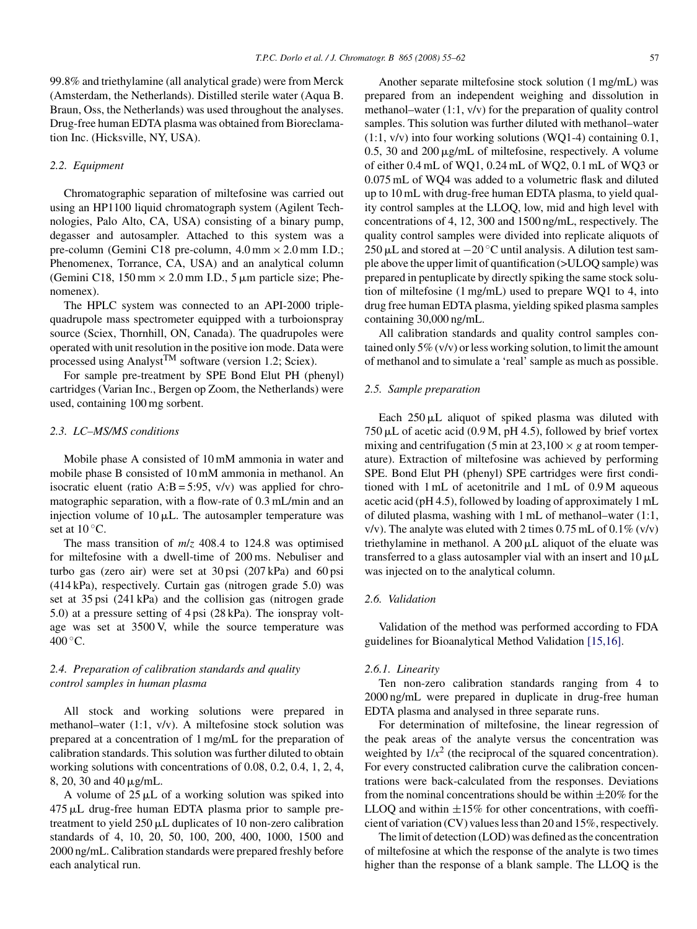<span id="page-2-0"></span>99.8% and triethylamine (all analytical grade) were from Merck (Amsterdam, the Netherlands). Distilled sterile water (Aqua B. Braun, Oss, the Netherlands) was used throughout the analyses. Drug-free human EDTA plasma was obtained from Bioreclamation Inc. (Hicksville, NY, USA).

#### *2.2. Equipment*

Chromatographic separation of miltefosine was carried out using an HP1100 liquid chromatograph system (Agilent Technologies, Palo Alto, CA, USA) consisting of a binary pump, degasser and autosampler. Attached to this system was a pre-column (Gemini C18 pre-column,  $4.0 \text{ mm} \times 2.0 \text{ mm}$  I.D.; Phenomenex, Torrance, CA, USA) and an analytical column (Gemini C18,  $150 \text{ mm} \times 2.0 \text{ mm}$  I.D.,  $5 \mu \text{m}$  particle size; Phenomenex).

The HPLC system was connected to an API-2000 triplequadrupole mass spectrometer equipped with a turboionspray source (Sciex, Thornhill, ON, Canada). The quadrupoles were operated with unit resolution in the positive ion mode. Data were processed using Analyst<sup>TM</sup> software (version 1.2; Sciex).

For sample pre-treatment by SPE Bond Elut PH (phenyl) cartridges (Varian Inc., Bergen op Zoom, the Netherlands) were used, containing 100 mg sorbent.

## *2.3. LC–MS/MS conditions*

Mobile phase A consisted of 10 mM ammonia in water and mobile phase B consisted of 10 mM ammonia in methanol. An isocratic eluent (ratio  $A:B = 5:95$ ,  $v/v$ ) was applied for chromatographic separation, with a flow-rate of 0.3 mL/min and an injection volume of  $10 \mu L$ . The autosampler temperature was set at  $10^{\circ}$ C.

The mass transition of *m*/*z* 408.4 to 124.8 was optimised for miltefosine with a dwell-time of 200 ms. Nebuliser and turbo gas (zero air) were set at 30 psi (207 kPa) and 60 psi (414 kPa), respectively. Curtain gas (nitrogen grade 5.0) was set at 35 psi (241 kPa) and the collision gas (nitrogen grade 5.0) at a pressure setting of 4 psi (28 kPa). The ionspray voltage was set at 3500 V, while the source temperature was  $400^{\circ}$ C.

# *2.4. Preparation of calibration standards and quality control samples in human plasma*

All stock and working solutions were prepared in methanol–water (1:1, v/v). A miltefosine stock solution was prepared at a concentration of 1 mg/mL for the preparation of calibration standards. This solution was further diluted to obtain working solutions with concentrations of 0.08, 0.2, 0.4, 1, 2, 4, 8, 20, 30 and 40 µg/mL.

A volume of  $25 \mu L$  of a working solution was spiked into 475 µL drug-free human EDTA plasma prior to sample pretreatment to yield  $250 \mu L$  duplicates of 10 non-zero calibration standards of 4, 10, 20, 50, 100, 200, 400, 1000, 1500 and 2000 ng/mL. Calibration standards were prepared freshly before each analytical run.

Another separate miltefosine stock solution (1 mg/mL) was prepared from an independent weighing and dissolution in methanol–water (1:1, v/v) for the preparation of quality control samples. This solution was further diluted with methanol–water (1:1, v/v) into four working solutions (WQ1-4) containing 0.1, 0.5, 30 and  $200 \mu g/mL$  of miltefosine, respectively. A volume of either 0.4 mL of WQ1, 0.24 mL of WQ2, 0.1 mL of WQ3 or 0.075 mL of WQ4 was added to a volumetric flask and diluted up to 10 mL with drug-free human EDTA plasma, to yield quality control samples at the LLOQ, low, mid and high level with concentrations of 4, 12, 300 and 1500 ng/mL, respectively. The quality control samples were divided into replicate aliquots of 250 µL and stored at  $-20^\circ$ C until analysis. A dilution test sample above the upper limit of quantification (>ULOQ sample) was prepared in pentuplicate by directly spiking the same stock solution of miltefosine (1 mg/mL) used to prepare WQ1 to 4, into drug free human EDTA plasma, yielding spiked plasma samples containing 30,000 ng/mL.

All calibration standards and quality control samples contained only 5% (v/v) or less working solution, to limit the amount of methanol and to simulate a 'real' sample as much as possible.

## *2.5. Sample preparation*

Each  $250 \mu L$  aliquot of spiked plasma was diluted with  $750 \mu L$  of acetic acid (0.9 M, pH 4.5), followed by brief vortex mixing and centrifugation (5 min at  $23,100 \times g$  at room temperature). Extraction of miltefosine was achieved by performing SPE. Bond Elut PH (phenyl) SPE cartridges were first conditioned with 1 mL of acetonitrile and 1 mL of 0.9 M aqueous acetic acid (pH 4.5), followed by loading of approximately 1 mL of diluted plasma, washing with 1 mL of methanol–water (1:1, v/v). The analyte was eluted with 2 times  $0.75$  mL of  $0.1\%$  (v/v) triethylamine in methanol. A  $200 \mu L$  aliquot of the eluate was transferred to a glass autosampler vial with an insert and  $10 \mu L$ was injected on to the analytical column.

# *2.6. Validation*

Validation of the method was performed according to FDA guidelines for Bioanalytical Method Validation [\[15,16\].](#page-7-0)

#### *2.6.1. Linearity*

Ten non-zero calibration standards ranging from 4 to 2000 ng/mL were prepared in duplicate in drug-free human EDTA plasma and analysed in three separate runs.

For determination of miltefosine, the linear regression of the peak areas of the analyte versus the concentration was weighted by  $1/x^2$  (the reciprocal of the squared concentration). For every constructed calibration curve the calibration concentrations were back-calculated from the responses. Deviations from the nominal concentrations should be within  $\pm 20\%$  for the LLOQ and within  $\pm 15\%$  for other concentrations, with coefficient of variation (CV) values less than 20 and 15%, respectively.

The limit of detection (LOD) was defined as the concentration of miltefosine at which the response of the analyte is two times higher than the response of a blank sample. The LLOQ is the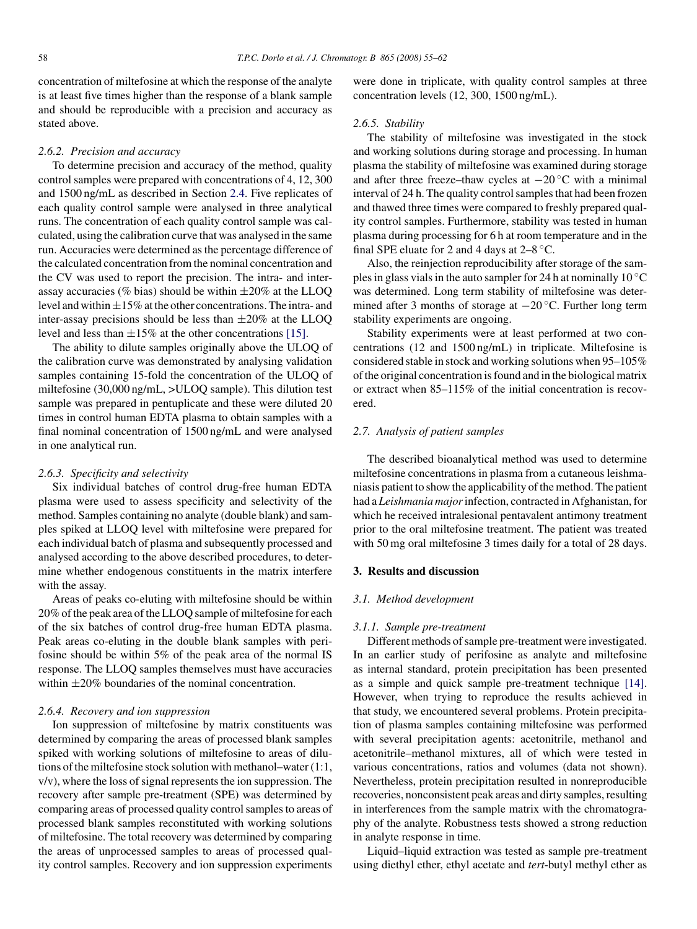<span id="page-3-0"></span>concentration of miltefosine at which the response of the analyte is at least five times higher than the response of a blank sample and should be reproducible with a precision and accuracy as stated above.

## *2.6.2. Precision and accuracy*

To determine precision and accuracy of the method, quality control samples were prepared with concentrations of 4, 12, 300 and 1500 ng/mL as described in Section [2.4.](#page-2-0) Five replicates of each quality control sample were analysed in three analytical runs. The concentration of each quality control sample was calculated, using the calibration curve that was analysed in the same run. Accuracies were determined as the percentage difference of the calculated concentration from the nominal concentration and the CV was used to report the precision. The intra- and interassay accuracies (% bias) should be within  $\pm 20\%$  at the LLOQ level and within  $\pm 15\%$  at the other concentrations. The intra- and inter-assay precisions should be less than  $\pm 20\%$  at the LLOQ level and less than  $\pm 15\%$  at the other concentrations [\[15\].](#page-7-0)

The ability to dilute samples originally above the ULOQ of the calibration curve was demonstrated by analysing validation samples containing 15-fold the concentration of the ULOQ of miltefosine (30,000 ng/mL, >ULOQ sample). This dilution test sample was prepared in pentuplicate and these were diluted 20 times in control human EDTA plasma to obtain samples with a final nominal concentration of 1500 ng/mL and were analysed in one analytical run.

## *2.6.3. Specificity and selectivity*

Six individual batches of control drug-free human EDTA plasma were used to assess specificity and selectivity of the method. Samples containing no analyte (double blank) and samples spiked at LLOQ level with miltefosine were prepared for each individual batch of plasma and subsequently processed and analysed according to the above described procedures, to determine whether endogenous constituents in the matrix interfere with the assay.

Areas of peaks co-eluting with miltefosine should be within 20% of the peak area of the LLOQ sample of miltefosine for each of the six batches of control drug-free human EDTA plasma. Peak areas co-eluting in the double blank samples with perifosine should be within 5% of the peak area of the normal IS response. The LLOQ samples themselves must have accuracies within  $\pm 20\%$  boundaries of the nominal concentration.

#### *2.6.4. Recovery and ion suppression*

Ion suppression of miltefosine by matrix constituents was determined by comparing the areas of processed blank samples spiked with working solutions of miltefosine to areas of dilutions of the miltefosine stock solution with methanol–water (1:1, v/v), where the loss of signal represents the ion suppression. The recovery after sample pre-treatment (SPE) was determined by comparing areas of processed quality control samples to areas of processed blank samples reconstituted with working solutions of miltefosine. The total recovery was determined by comparing the areas of unprocessed samples to areas of processed quality control samples. Recovery and ion suppression experiments were done in triplicate, with quality control samples at three concentration levels (12, 300, 1500 ng/mL).

#### *2.6.5. Stability*

The stability of miltefosine was investigated in the stock and working solutions during storage and processing. In human plasma the stability of miltefosine was examined during storage and after three freeze–thaw cycles at −20 ◦C with a minimal interval of 24 h. The quality control samples that had been frozen and thawed three times were compared to freshly prepared quality control samples. Furthermore, stability was tested in human plasma during processing for 6 h at room temperature and in the final SPE eluate for 2 and 4 days at  $2-8$  °C.

Also, the reinjection reproducibility after storage of the samples in glass vials in the auto sampler for 24 h at nominally 10  $\rm ^{\circ}C$ was determined. Long term stability of miltefosine was determined after 3 months of storage at  $-20$  °C. Further long term stability experiments are ongoing.

Stability experiments were at least performed at two concentrations (12 and 1500 ng/mL) in triplicate. Miltefosine is considered stable in stock and working solutions when 95–105% of the original concentration is found and in the biological matrix or extract when 85–115% of the initial concentration is recovered.

## *2.7. Analysis of patient samples*

The described bioanalytical method was used to determine miltefosine concentrations in plasma from a cutaneous leishmaniasis patient to show the applicability of the method. The patient had a *Leishmania major*infection, contracted in Afghanistan, for which he received intralesional pentavalent antimony treatment prior to the oral miltefosine treatment. The patient was treated with 50 mg oral miltefosine 3 times daily for a total of 28 days.

# **3. Results and discussion**

## *3.1. Method development*

## *3.1.1. Sample pre-treatment*

Different methods of sample pre-treatment were investigated. In an earlier study of perifosine as analyte and miltefosine as internal standard, protein precipitation has been presented as a simple and quick sample pre-treatment technique [\[14\].](#page-7-0) However, when trying to reproduce the results achieved in that study, we encountered several problems. Protein precipitation of plasma samples containing miltefosine was performed with several precipitation agents: acetonitrile, methanol and acetonitrile–methanol mixtures, all of which were tested in various concentrations, ratios and volumes (data not shown). Nevertheless, protein precipitation resulted in nonreproducible recoveries, nonconsistent peak areas and dirty samples, resulting in interferences from the sample matrix with the chromatography of the analyte. Robustness tests showed a strong reduction in analyte response in time.

Liquid–liquid extraction was tested as sample pre-treatment using diethyl ether, ethyl acetate and *tert*-butyl methyl ether as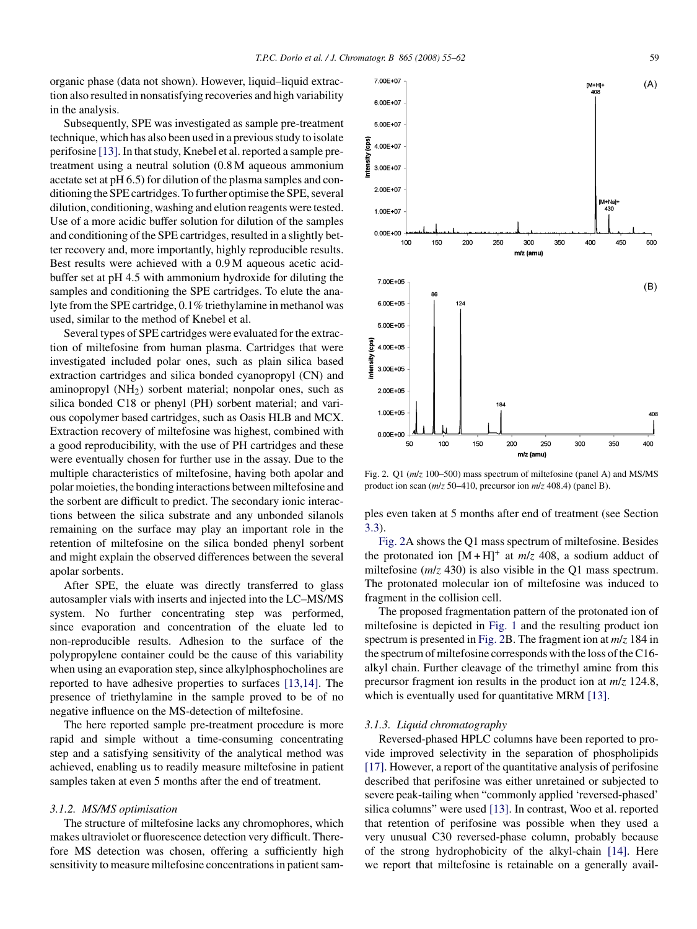organic phase (data not shown). However, liquid–liquid extraction also resulted in nonsatisfying recoveries and high variability in the analysis.

Subsequently, SPE was investigated as sample pre-treatment technique, which has also been used in a previous study to isolate perifosine [\[13\]. I](#page-7-0)n that study, Knebel et al. reported a sample pretreatment using a neutral solution (0.8 M aqueous ammonium acetate set at pH 6.5) for dilution of the plasma samples and conditioning the SPE cartridges. To further optimise the SPE, several dilution, conditioning, washing and elution reagents were tested. Use of a more acidic buffer solution for dilution of the samples and conditioning of the SPE cartridges, resulted in a slightly better recovery and, more importantly, highly reproducible results. Best results were achieved with a 0.9 M aqueous acetic acidbuffer set at pH 4.5 with ammonium hydroxide for diluting the samples and conditioning the SPE cartridges. To elute the analyte from the SPE cartridge, 0.1% triethylamine in methanol was used, similar to the method of Knebel et al.

Several types of SPE cartridges were evaluated for the extraction of miltefosine from human plasma. Cartridges that were investigated included polar ones, such as plain silica based extraction cartridges and silica bonded cyanopropyl (CN) and aminopropyl (NH2) sorbent material; nonpolar ones, such as silica bonded C18 or phenyl (PH) sorbent material; and various copolymer based cartridges, such as Oasis HLB and MCX. Extraction recovery of miltefosine was highest, combined with a good reproducibility, with the use of PH cartridges and these were eventually chosen for further use in the assay. Due to the multiple characteristics of miltefosine, having both apolar and polar moieties, the bonding interactions between miltefosine and the sorbent are difficult to predict. The secondary ionic interactions between the silica substrate and any unbonded silanols remaining on the surface may play an important role in the retention of miltefosine on the silica bonded phenyl sorbent and might explain the observed differences between the several apolar sorbents.

After SPE, the eluate was directly transferred to glass autosampler vials with inserts and injected into the LC–MS/MS system. No further concentrating step was performed, since evaporation and concentration of the eluate led to non-reproducible results. Adhesion to the surface of the polypropylene container could be the cause of this variability when using an evaporation step, since alkylphosphocholines are reported to have adhesive properties to surfaces [\[13,14\].](#page-7-0) The presence of triethylamine in the sample proved to be of no negative influence on the MS-detection of miltefosine.

The here reported sample pre-treatment procedure is more rapid and simple without a time-consuming concentrating step and a satisfying sensitivity of the analytical method was achieved, enabling us to readily measure miltefosine in patient samples taken at even 5 months after the end of treatment.

## *3.1.2. MS/MS optimisation*

The structure of miltefosine lacks any chromophores, which makes ultraviolet or fluorescence detection very difficult. Therefore MS detection was chosen, offering a sufficiently high sensitivity to measure miltefosine concentrations in patient sam-



Fig. 2. Q1 (*m*/*z* 100–500) mass spectrum of miltefosine (panel A) and MS/MS product ion scan (*m*/*z* 50–410, precursor ion *m*/*z* 408.4) (panel B).

ples even taken at 5 months after end of treatment (see Section [3.3\).](#page-7-0)

Fig. 2A shows the Q1 mass spectrum of miltefosine. Besides the protonated ion  $[M + H]^{+}$  at  $m/z$  408, a sodium adduct of miltefosine (*m/z* 430) is also visible in the O1 mass spectrum. The protonated molecular ion of miltefosine was induced to fragment in the collision cell.

The proposed fragmentation pattern of the protonated ion of miltefosine is depicted in [Fig. 1](#page-1-0) and the resulting product ion spectrum is presented in Fig. 2B. The fragment ion at *m*/*z* 184 in the spectrum of miltefosine corresponds with the loss of the C16 alkyl chain. Further cleavage of the trimethyl amine from this precursor fragment ion results in the product ion at *m*/*z* 124.8, which is eventually used for quantitative MRM [\[13\].](#page-7-0)

## *3.1.3. Liquid chromatography*

Reversed-phased HPLC columns have been reported to provide improved selectivity in the separation of phospholipids [\[17\]. H](#page-7-0)owever, a report of the quantitative analysis of perifosine described that perifosine was either unretained or subjected to severe peak-tailing when "commonly applied 'reversed-phased' silica columns" were used [\[13\]. I](#page-7-0)n contrast, Woo et al. reported that retention of perifosine was possible when they used a very unusual C30 reversed-phase column, probably because of the strong hydrophobicity of the alkyl-chain [\[14\].](#page-7-0) Here we report that miltefosine is retainable on a generally avail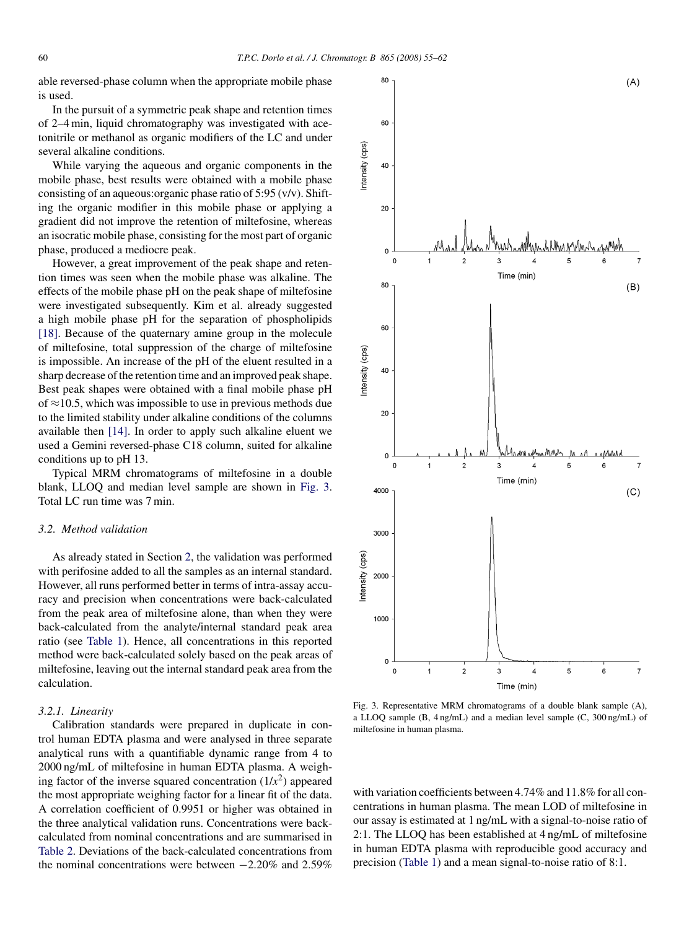<span id="page-5-0"></span>able reversed-phase column when the appropriate mobile phase is used.

In the pursuit of a symmetric peak shape and retention times of 2–4 min, liquid chromatography was investigated with acetonitrile or methanol as organic modifiers of the LC and under several alkaline conditions.

While varying the aqueous and organic components in the mobile phase, best results were obtained with a mobile phase consisting of an aqueous:organic phase ratio of 5:95 (v/v). Shifting the organic modifier in this mobile phase or applying a gradient did not improve the retention of miltefosine, whereas an isocratic mobile phase, consisting for the most part of organic phase, produced a mediocre peak.

However, a great improvement of the peak shape and retention times was seen when the mobile phase was alkaline. The effects of the mobile phase pH on the peak shape of miltefosine were investigated subsequently. Kim et al. already suggested a high mobile phase pH for the separation of phospholipids [\[18\].](#page-7-0) Because of the quaternary amine group in the molecule of miltefosine, total suppression of the charge of miltefosine is impossible. An increase of the pH of the eluent resulted in a sharp decrease of the retention time and an improved peak shape. Best peak shapes were obtained with a final mobile phase pH of  $\approx$ 10.5, which was impossible to use in previous methods due to the limited stability under alkaline conditions of the columns available then [\[14\].](#page-7-0) In order to apply such alkaline eluent we used a Gemini reversed-phase C18 column, suited for alkaline conditions up to pH 13.

Typical MRM chromatograms of miltefosine in a double blank, LLOQ and median level sample are shown in Fig. 3. Total LC run time was 7 min.

# *3.2. Method validation*

As already stated in Section [2, t](#page-1-0)he validation was performed with perifosine added to all the samples as an internal standard. However, all runs performed better in terms of intra-assay accuracy and precision when concentrations were back-calculated from the peak area of miltefosine alone, than when they were back-calculated from the analyte/internal standard peak area ratio (see [Table 1\).](#page-1-0) Hence, all concentrations in this reported method were back-calculated solely based on the peak areas of miltefosine, leaving out the internal standard peak area from the calculation.

#### *3.2.1. Linearity*

Calibration standards were prepared in duplicate in control human EDTA plasma and were analysed in three separate analytical runs with a quantifiable dynamic range from 4 to 2000 ng/mL of miltefosine in human EDTA plasma. A weighing factor of the inverse squared concentration  $(1/x^2)$  appeared the most appropriate weighing factor for a linear fit of the data. A correlation coefficient of 0.9951 or higher was obtained in the three analytical validation runs. Concentrations were backcalculated from nominal concentrations and are summarised in [Table 2.](#page-6-0) Deviations of the back-calculated concentrations from the nominal concentrations were between −2.20% and 2.59%



Fig. 3. Representative MRM chromatograms of a double blank sample (A), a LLOQ sample (B, 4 ng/mL) and a median level sample (C, 300 ng/mL) of miltefosine in human plasma.

with variation coefficients between 4.74% and 11.8% for all concentrations in human plasma. The mean LOD of miltefosine in our assay is estimated at 1 ng/mL with a signal-to-noise ratio of 2:1. The LLOQ has been established at 4 ng/mL of miltefosine in human EDTA plasma with reproducible good accuracy and precision [\(Table 1\)](#page-1-0) and a mean signal-to-noise ratio of 8:1.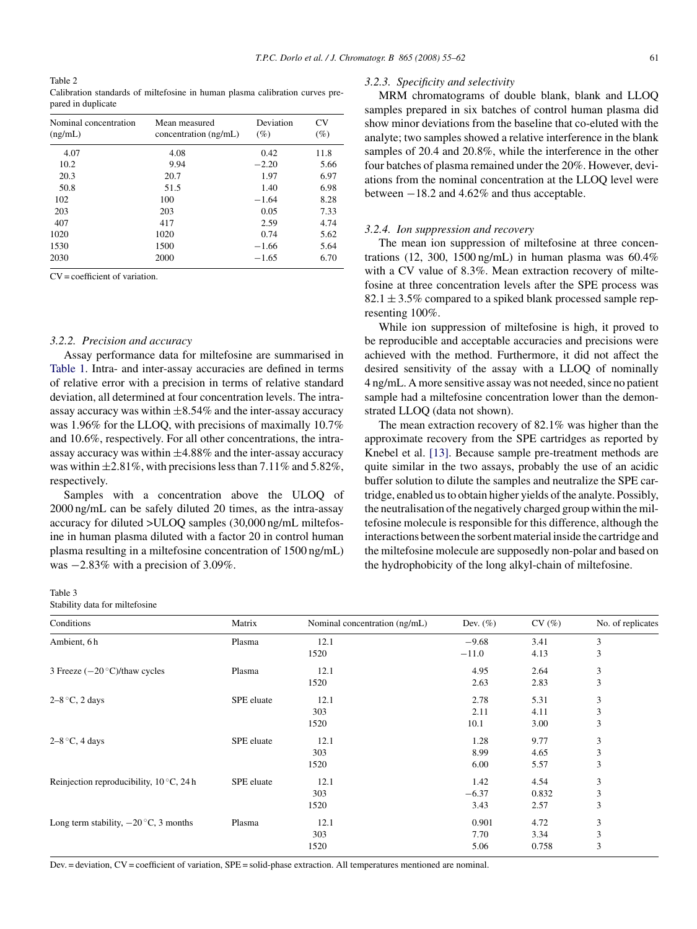<span id="page-6-0"></span>Table 2 Calibration standards of miltefosine in human plasma calibration curves prepared in duplicate

| Nominal concentration<br>(ng/mL) | Mean measured<br>concentration (ng/mL) | Deviation<br>$(\%)$ | CV<br>$(\%)$ |
|----------------------------------|----------------------------------------|---------------------|--------------|
| 4.07                             | 4.08                                   | 0.42                | 11.8         |
| 10.2                             | 9.94                                   | $-2.20$             | 5.66         |
| 20.3                             | 20.7                                   | 1.97                | 6.97         |
| 50.8                             | 51.5                                   | 1.40                | 6.98         |
| 102                              | 100                                    | $-1.64$             | 8.28         |
| 203                              | 203                                    | 0.05                | 7.33         |
| 407                              | 417                                    | 2.59                | 4.74         |
| 1020                             | 1020                                   | 0.74                | 5.62         |
| 1530                             | 1500                                   | $-1.66$             | 5.64         |
| 2030                             | 2000                                   | $-1.65$             | 6.70         |

 $CV = coefficient of variation$ 

#### *3.2.2. Precision and accuracy*

Assay performance data for miltefosine are summarised in [Table 1.](#page-1-0) Intra- and inter-assay accuracies are defined in terms of relative error with a precision in terms of relative standard deviation, all determined at four concentration levels. The intraassay accuracy was within  $\pm 8.54\%$  and the inter-assay accuracy was 1.96% for the LLOQ, with precisions of maximally 10.7% and 10.6%, respectively. For all other concentrations, the intraassay accuracy was within  $\pm 4.88\%$  and the inter-assay accuracy was within  $\pm 2.81\%$ , with precisions less than 7.11% and 5.82%, respectively.

Samples with a concentration above the ULOQ of 2000 ng/mL can be safely diluted 20 times, as the intra-assay accuracy for diluted >ULOQ samples (30,000 ng/mL miltefosine in human plasma diluted with a factor 20 in control human plasma resulting in a miltefosine concentration of 1500 ng/mL) was −2.83% with a precision of 3.09%.

#### Table 3

Stability data for miltefosine

| Conditions                                        | Matrix     | Nominal concentration (ng/mL) | Dev. $(\% )$ | CV(%) | No. of replicates |
|---------------------------------------------------|------------|-------------------------------|--------------|-------|-------------------|
| Ambient, 6h                                       | Plasma     | 12.1                          | $-9.68$      | 3.41  | 3                 |
|                                                   |            | 1520                          | $-11.0$      | 4.13  | 3                 |
| 3 Freeze $(-20 °C)/$ thaw cycles                  | Plasma     | 12.1                          | 4.95         | 2.64  | 3                 |
|                                                   |            | 1520                          | 2.63         | 2.83  | 3                 |
| $2-8$ °C, 2 days                                  | SPE eluate | 12.1                          | 2.78         | 5.31  | 3                 |
|                                                   |            | 303                           | 2.11         | 4.11  | 3                 |
|                                                   |            | 1520                          | 10.1         | 3.00  | 3                 |
| $2-8$ °C, 4 days                                  | SPE eluate | 12.1                          | 1.28         | 9.77  | 3                 |
|                                                   |            | 303                           | 8.99         | 4.65  | 3                 |
|                                                   |            | 1520                          | 6.00         | 5.57  | 3                 |
| Reinjection reproducibility, $10^{\circ}$ C, 24 h | SPE eluate | 12.1                          | 1.42         | 4.54  | 3                 |
|                                                   |            | 303                           | $-6.37$      | 0.832 | 3                 |
|                                                   |            | 1520                          | 3.43         | 2.57  | 3                 |
| Long term stability, $-20^{\circ}$ C, 3 months    | Plasma     | 12.1                          | 0.901        | 4.72  | 3                 |
|                                                   |            | 303                           | 7.70         | 3.34  | 3                 |
|                                                   |            | 1520                          | 5.06         | 0.758 | 3                 |
|                                                   |            |                               |              |       |                   |

Dev. = deviation, CV = coefficient of variation, SPE = solid-phase extraction. All temperatures mentioned are nominal.

#### *3.2.3. Specificity and selectivity*

MRM chromatograms of double blank, blank and LLOQ samples prepared in six batches of control human plasma did show minor deviations from the baseline that co-eluted with the analyte; two samples showed a relative interference in the blank samples of 20.4 and 20.8%, while the interference in the other four batches of plasma remained under the 20%. However, deviations from the nominal concentration at the LLOQ level were between −18.2 and 4.62% and thus acceptable.

## *3.2.4. Ion suppression and recovery*

The mean ion suppression of miltefosine at three concentrations (12, 300, 1500 ng/mL) in human plasma was  $60.4\%$ with a CV value of 8.3%. Mean extraction recovery of miltefosine at three concentration levels after the SPE process was  $82.1 \pm 3.5\%$  compared to a spiked blank processed sample representing 100%.

While ion suppression of miltefosine is high, it proved to be reproducible and acceptable accuracies and precisions were achieved with the method. Furthermore, it did not affect the desired sensitivity of the assay with a LLOQ of nominally 4 ng/mL. A more sensitive assay was not needed, since no patient sample had a miltefosine concentration lower than the demonstrated LLOQ (data not shown).

The mean extraction recovery of 82.1% was higher than the approximate recovery from the SPE cartridges as reported by Knebel et al. [\[13\].](#page-7-0) Because sample pre-treatment methods are quite similar in the two assays, probably the use of an acidic buffer solution to dilute the samples and neutralize the SPE cartridge, enabled us to obtain higher yields of the analyte. Possibly, the neutralisation of the negatively charged group within the miltefosine molecule is responsible for this difference, although the interactions between the sorbent material inside the cartridge and the miltefosine molecule are supposedly non-polar and based on the hydrophobicity of the long alkyl-chain of miltefosine.